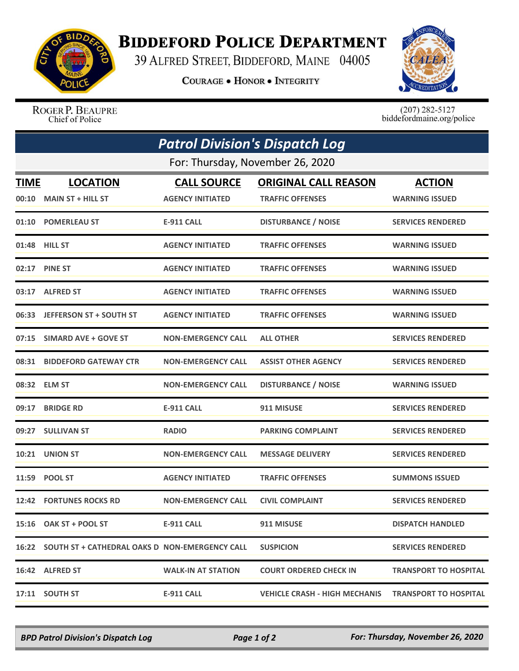

## **BIDDEFORD POLICE DEPARTMENT**

39 ALFRED STREET, BIDDEFORD, MAINE 04005

**COURAGE . HONOR . INTEGRITY** 



ROGER P. BEAUPRE Chief of Police

 $(207)$  282-5127<br>biddefordmaine.org/police

| <b>Patrol Division's Dispatch Log</b><br>For: Thursday, November 26, 2020 |                                                      |                           |                                                        |                              |  |  |
|---------------------------------------------------------------------------|------------------------------------------------------|---------------------------|--------------------------------------------------------|------------------------------|--|--|
|                                                                           |                                                      |                           |                                                        |                              |  |  |
|                                                                           | $00:10$ MAIN ST + HILL ST                            | <b>AGENCY INITIATED</b>   | <b>TRAFFIC OFFENSES</b>                                | <b>WARNING ISSUED</b>        |  |  |
|                                                                           | 01:10 POMERLEAU ST                                   | <b>E-911 CALL</b>         | <b>DISTURBANCE / NOISE</b>                             | <b>SERVICES RENDERED</b>     |  |  |
|                                                                           | 01:48 HILL ST                                        | <b>AGENCY INITIATED</b>   | <b>TRAFFIC OFFENSES</b>                                | <b>WARNING ISSUED</b>        |  |  |
|                                                                           | 02:17 PINE ST                                        | <b>AGENCY INITIATED</b>   | <b>TRAFFIC OFFENSES</b>                                | <b>WARNING ISSUED</b>        |  |  |
|                                                                           | 03:17 ALFRED ST                                      | <b>AGENCY INITIATED</b>   | <b>TRAFFIC OFFENSES</b>                                | <b>WARNING ISSUED</b>        |  |  |
|                                                                           | 06:33 JEFFERSON ST + SOUTH ST                        | <b>AGENCY INITIATED</b>   | <b>TRAFFIC OFFENSES</b>                                | <b>WARNING ISSUED</b>        |  |  |
|                                                                           | 07:15 SIMARD AVE + GOVE ST                           | <b>NON-EMERGENCY CALL</b> | <b>ALL OTHER</b>                                       | <b>SERVICES RENDERED</b>     |  |  |
|                                                                           | 08:31 BIDDEFORD GATEWAY CTR                          | <b>NON-EMERGENCY CALL</b> | <b>ASSIST OTHER AGENCY</b>                             | <b>SERVICES RENDERED</b>     |  |  |
|                                                                           | 08:32 ELM ST                                         | <b>NON-EMERGENCY CALL</b> | <b>DISTURBANCE / NOISE</b>                             | <b>WARNING ISSUED</b>        |  |  |
| 09:17                                                                     | <b>BRIDGE RD</b>                                     | <b>E-911 CALL</b>         | 911 MISUSE                                             | <b>SERVICES RENDERED</b>     |  |  |
|                                                                           | 09:27 SULLIVAN ST                                    | <b>RADIO</b>              | <b>PARKING COMPLAINT</b>                               | <b>SERVICES RENDERED</b>     |  |  |
|                                                                           | 10:21 UNION ST                                       | <b>NON-EMERGENCY CALL</b> | <b>MESSAGE DELIVERY</b>                                | <b>SERVICES RENDERED</b>     |  |  |
|                                                                           | 11:59 POOL ST                                        | <b>AGENCY INITIATED</b>   | <b>TRAFFIC OFFENSES</b>                                | <b>SUMMONS ISSUED</b>        |  |  |
|                                                                           | 12:42 FORTUNES ROCKS RD                              | <b>NON-EMERGENCY CALL</b> | <b>CIVIL COMPLAINT</b>                                 | <b>SERVICES RENDERED</b>     |  |  |
|                                                                           | 15:16 OAK ST + POOL ST                               | E-911 CALL                | 911 MISUSE                                             | <b>DISPATCH HANDLED</b>      |  |  |
|                                                                           | 16:22 SOUTH ST + CATHEDRAL OAKS D NON-EMERGENCY CALL |                           | <b>SUSPICION</b>                                       | <b>SERVICES RENDERED</b>     |  |  |
|                                                                           | 16:42 ALFRED ST                                      | <b>WALK-IN AT STATION</b> | <b>COURT ORDERED CHECK IN</b>                          | <b>TRANSPORT TO HOSPITAL</b> |  |  |
|                                                                           | 17:11 SOUTH ST                                       | <b>E-911 CALL</b>         | VEHICLE CRASH - HIGH MECHANIS    TRANSPORT TO HOSPITAL |                              |  |  |